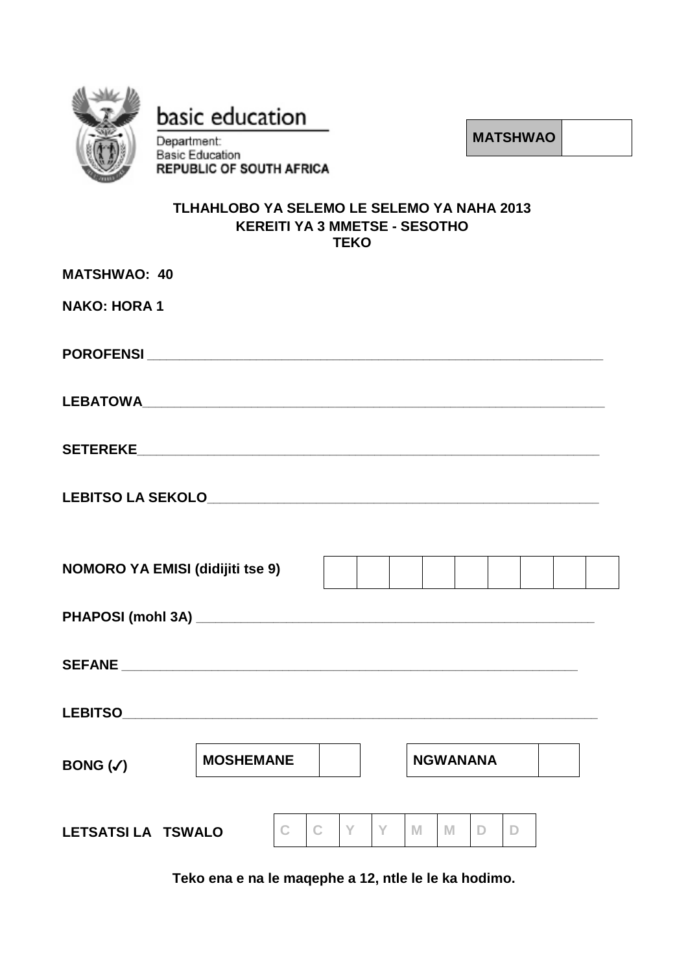

basic education

Department:

**MATSHWAO**

# **Basic Education REPUBLIC OF SOUTH AFRICA**

## **TLHAHLOBO YA SELEMO LE SELEMO YA NAHA 2013 KEREITI YA 3 MMETSE - SESOTHO TEKO**

| <b>MATSHWAO: 40</b>                     |  |             |                 |   |    |   |     |    |   |  |  |
|-----------------------------------------|--|-------------|-----------------|---|----|---|-----|----|---|--|--|
| <b>NAKO: HORA 1</b>                     |  |             |                 |   |    |   |     |    |   |  |  |
|                                         |  |             |                 |   |    |   |     |    |   |  |  |
|                                         |  |             |                 |   |    |   |     |    |   |  |  |
|                                         |  |             |                 |   |    |   |     |    |   |  |  |
|                                         |  |             |                 |   |    |   |     |    |   |  |  |
| <b>NOMORO YA EMISI (didijiti tse 9)</b> |  |             |                 |   |    |   |     |    |   |  |  |
|                                         |  |             |                 |   |    |   |     |    |   |  |  |
|                                         |  |             |                 |   |    |   |     |    |   |  |  |
|                                         |  |             |                 |   |    |   |     |    |   |  |  |
| <b>MOSHEMANE</b><br>BONG $(\checkmark)$ |  |             | <b>NGWANANA</b> |   |    |   |     |    |   |  |  |
| <b>LETSATSI LA TSWALO</b>               |  | $\mathbf C$ | $\mathbf{C}$    | Y | Y. | M | I M | D. | D |  |  |

**Teko ena e na le maqephe a 12, ntle le le ka hodimo.**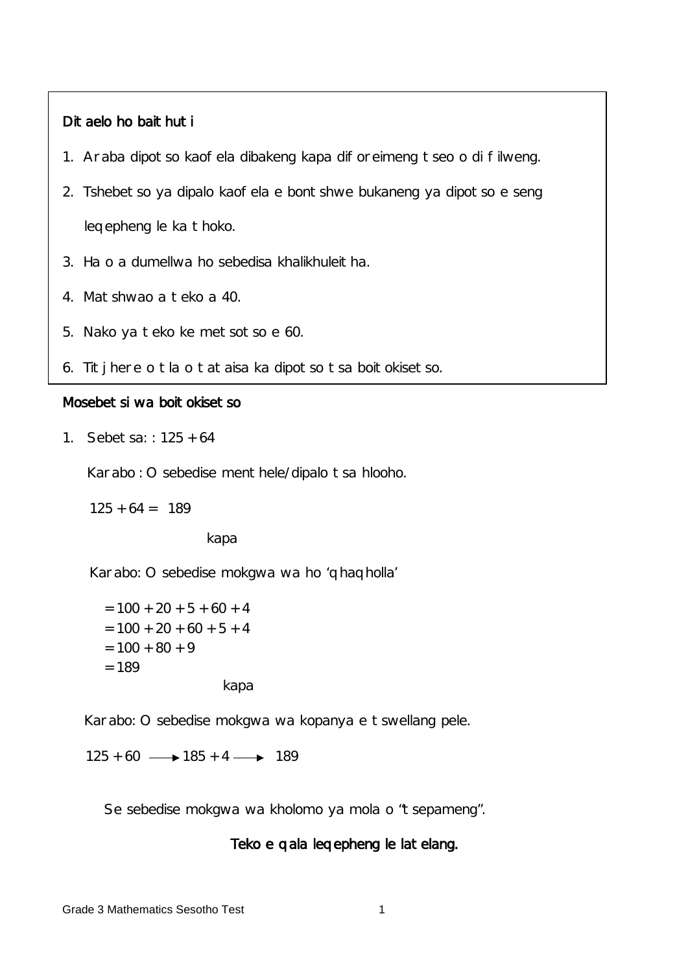## Ditaelo ho baithuti

- 1. Araba dipotso kaofela dibakeng kapa diforeimeng tseo o di filweng.
- 2. Tshebetso ya dipalo kaofela e bontshwe bukaneng ya dipotso e seng leqepheng le ka thoko.
- 3. Ha o a dumellwa ho sebedisa khalikhuleitha.
- 4. Matshwao a teko a 40.
- 5. Nako ya teko ke metsotso e 60.
- 6. Titjhere o tla o tataisa ka dipotso tsa boitokisetso.

## Mosebetsi wa boitokisetso

1. Sebetsa: : 125 + 64

Karabo : O sebedise menthele/dipalo tsa hlooho.

 $125 + 64 = 189$ 

kapa

Karabo: O sebedise mokgwa wa ho 'qhaqholla'

 $= 100 + 20 + 5 + 60 + 4$  $= 100 + 20 + 60 + 5 + 4$  $= 100 + 80 + 9$  $= 189$ kapa

Karabo: O sebedise mokgwa wa kopanya e tswellang pele.

 $125 + 60 \longrightarrow 185 + 4 \longrightarrow 189$ 

Se sebedise mokgwa wa kholomo ya mola o "tsepameng".

#### Teko e qala leqepheng le latelang.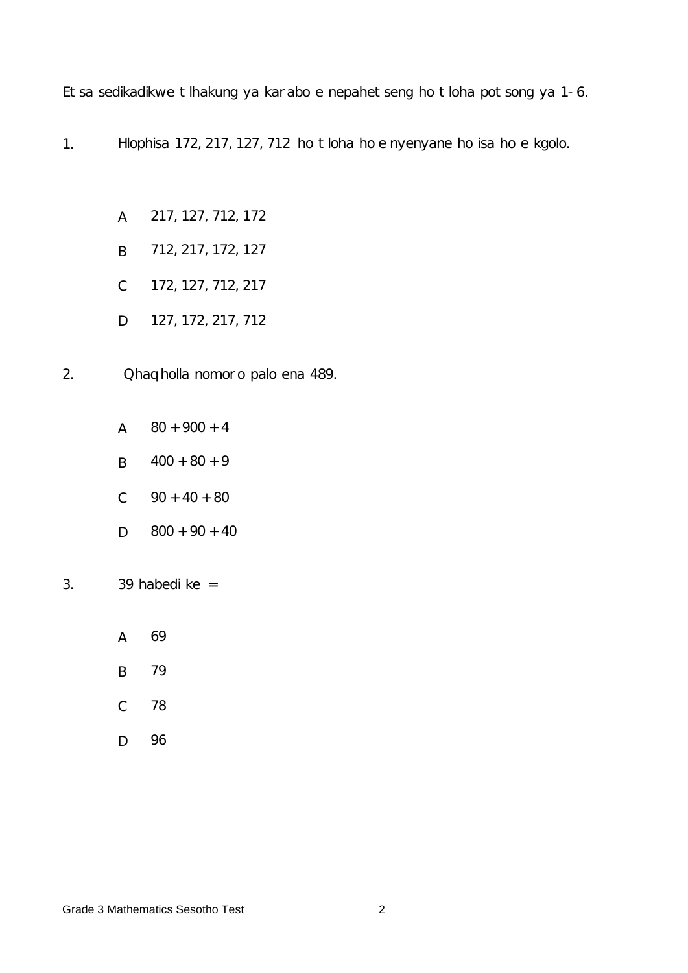Etsa sedikadikwe tlhakung ya karabo e nepahetseng ho tloha potsong ya 1- 6.

- 1. Hlophisa 172, 217, 127, 712 ho tloha ho e nyenyane ho isa ho e kgolo.
	- A 217, 127, 712, 172
	- B 712, 217, 172, 127
	- C 172, 127, 712, 217
	- D 127, 172, 217, 712
- 2. Qhaqholla nomoro palo ena 489.
	- A 80 + 900 + 4
	- B  $400 + 80 + 9$
	- C 90 + 40 + 80
	- D 800 + 90 + 40
- 3. 39 habedi ke =
	- A 69
	- B 79
	- C 78
	- D 96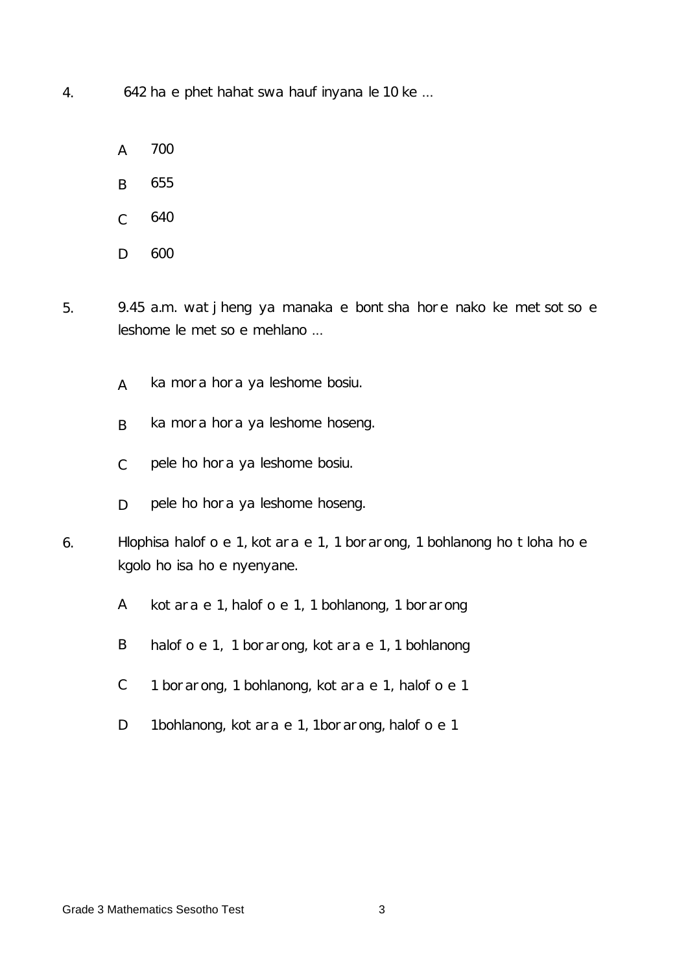4. 642 ha e phethahatswa haufinyana le 10 ke ...

- A 700
- B 655
- $\overline{C}$ 640
- D 600
- 5. 9.45 a.m. watjheng ya manaka e bontsha hore nako ke metsotso e leshome le metso e mehlano ...
	- A ka mora hora ya leshome bosiu.
	- B ka mora hora ya leshome hoseng.
	- C pele ho hora ya leshome bosiu.
	- D pele ho hora ya leshome hoseng.
- 6. Hlophisa halofo e 1, kotara e 1, 1 borarong, 1 bohlanong ho tloha ho e kgolo ho isa ho e nyenyane.
	- A kotara e 1, halofo e 1, 1 bohlanong, 1 borarong
	- B halofo e 1, 1 borarong, kotara e 1, 1 bohlanong
	- C 1 borarong, 1 bohlanong, kotara e 1, halofo e 1
	- D 1bohlanong, kotara e 1, 1borarong, halofo e 1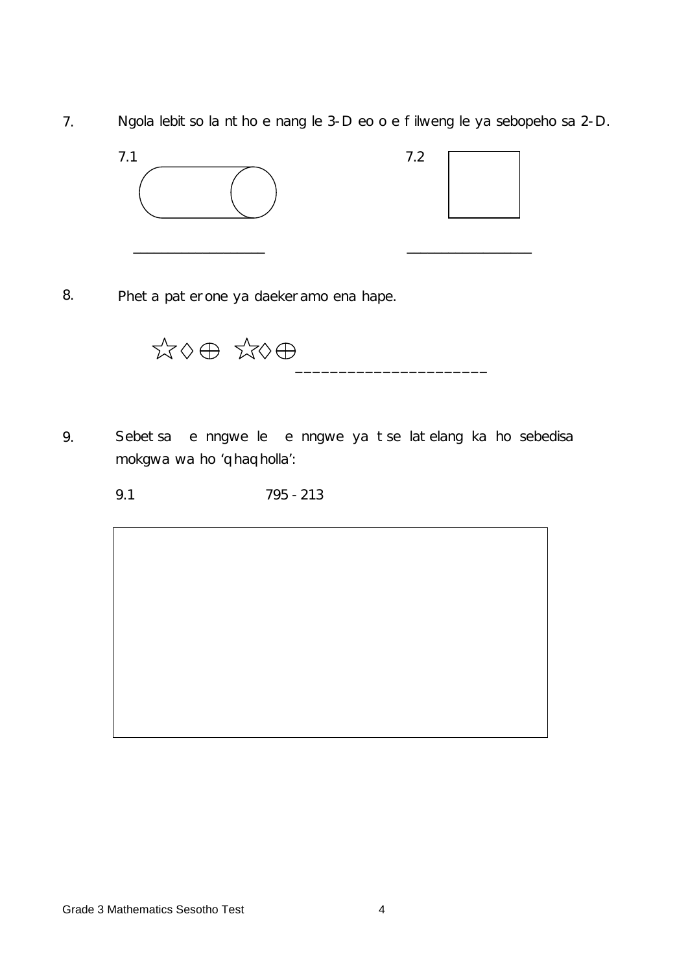7. Ngola lebitso la ntho e nang le 3-D eo o e filweng le ya sebopeho sa 2-D.





8. Pheta paterone ya daekeramo ena hape.

 $\overline{\phantom{a}}$  , and the contract of the contract of the contract of the contract of the contract of the contract of the contract of the contract of the contract of the contract of the contract of the contract of the contrac

- 9. Sebetsa e nngwe le e nngwe ya tse latelang ka ho sebedisa mokgwa wa ho 'qhaqholla':
	- 9.1 795 213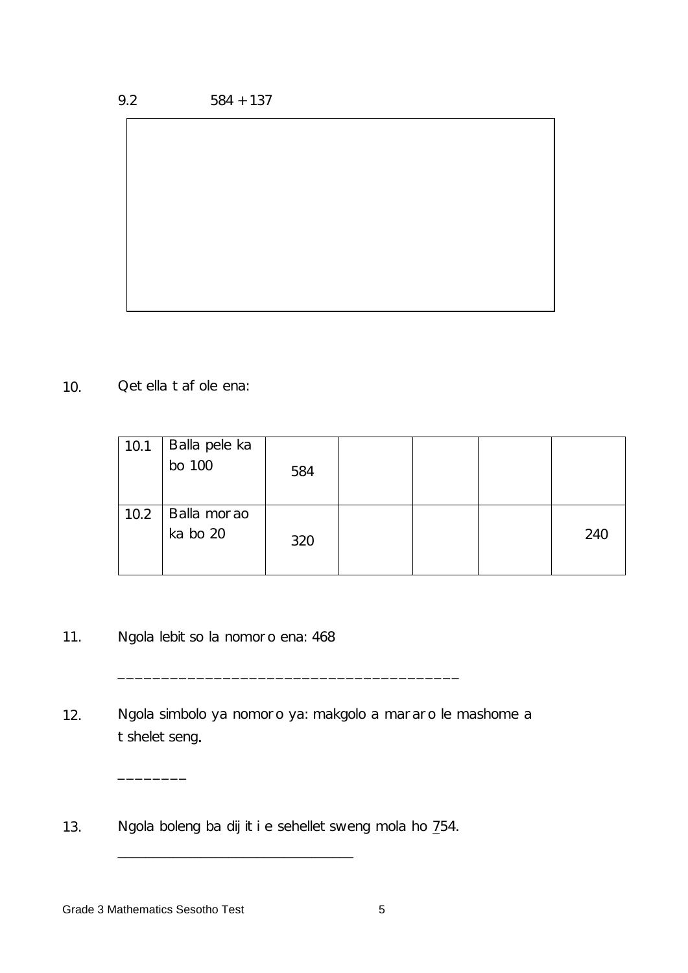10. Qetella tafole ena:

| 10.1 | Balla pele ka<br>bo 100 | 584 |  |     |
|------|-------------------------|-----|--|-----|
| 10.2 | Balla morao<br>ka bo 20 | 320 |  | 240 |

- 11. Ngola lebitso la nomoro ena: 468
- 12. Ngola simbolo ya nomoro ya: makgolo a mararo le mashome a tsheletseng.

\_\_\_\_\_\_\_\_\_\_\_\_\_\_\_\_\_\_\_\_\_\_\_\_\_\_\_\_\_\_\_\_\_\_\_\_\_\_\_

13. Ngola boleng ba dijiti e sehelletsweng mola ho 754.

\_\_\_\_\_\_\_\_\_\_\_\_\_\_\_\_\_\_\_\_\_\_\_\_\_\_\_\_\_\_\_\_\_\_

 $\overline{\phantom{a}}$  , where  $\overline{\phantom{a}}$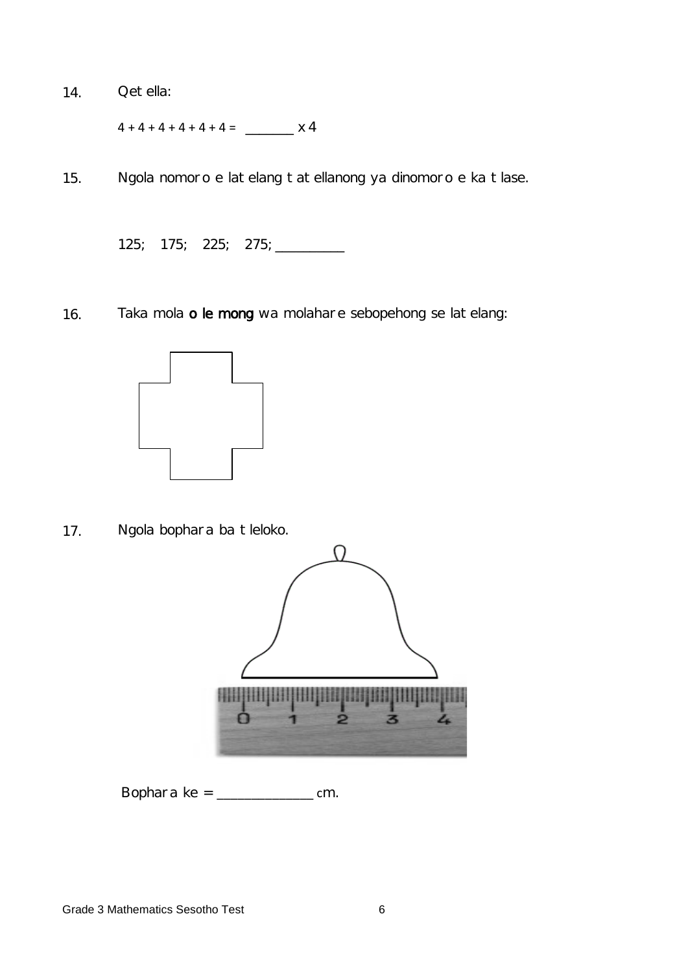14. Qetella:

4 + 4 + 4 + 4 + 4 + 4 = \_\_\_\_\_\_\_ x 4

15. Ngola nomoro e latelang tatellanong ya dinomoro e ka tlase.

125; 175; 225; 275; \_\_\_\_\_\_\_\_\_\_

16. Taka mola o le mong wa molahare sebopehong se latelang:



17. Ngola bophara ba tleloko.



Bophara ke = \_\_\_\_\_\_\_\_\_\_\_\_\_\_ cm.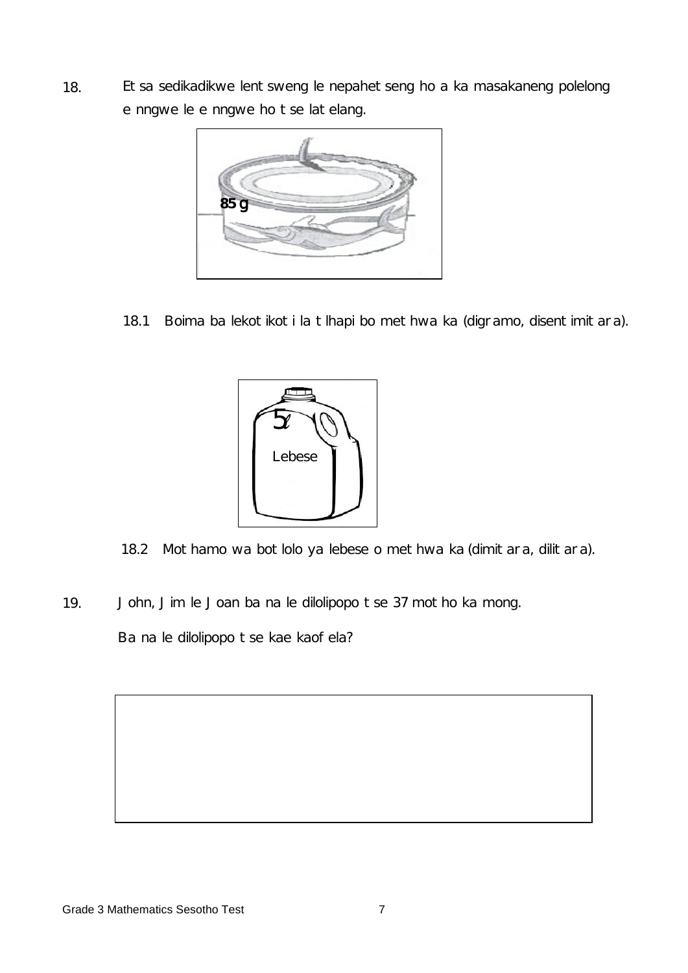18. Etsa sedikadikwe lentsweng le nepahetseng ho a ka masakaneng polelong e nngwe le e nngwe ho tse latelang.



18.1 Boima ba lekotikoti la tlhapi bo methwa ka (digramo, disentimitara).



- 18.2 Mothamo wa botlolo ya lebese o methwa ka (dimitara, dilitara).
- 19. John, Jim le Joan ba na le dilolipopo tse 37 motho ka mong.

Ba na le dilolipopo tse kae kaofela?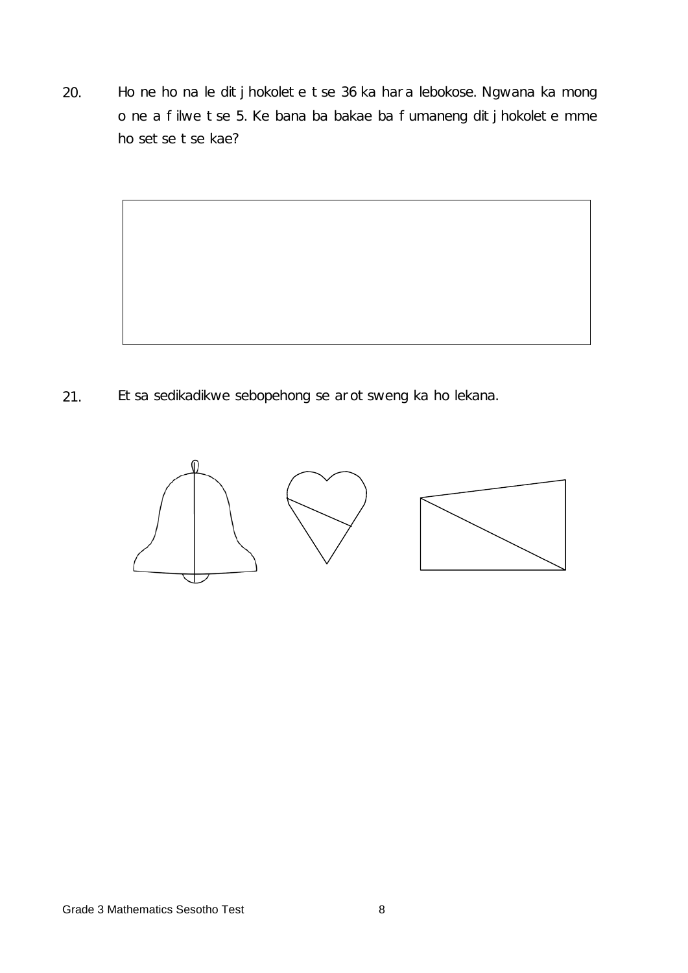20. Ho ne ho na le ditjhokolete tse 36 ka hara lebokose. Ngwana ka mong o ne a filwe tse 5. Ke bana ba bakae ba fumaneng ditjhokolete mme ho setse tse kae?



21. Etsa sedikadikwe sebopehong se arotsweng ka ho lekana.

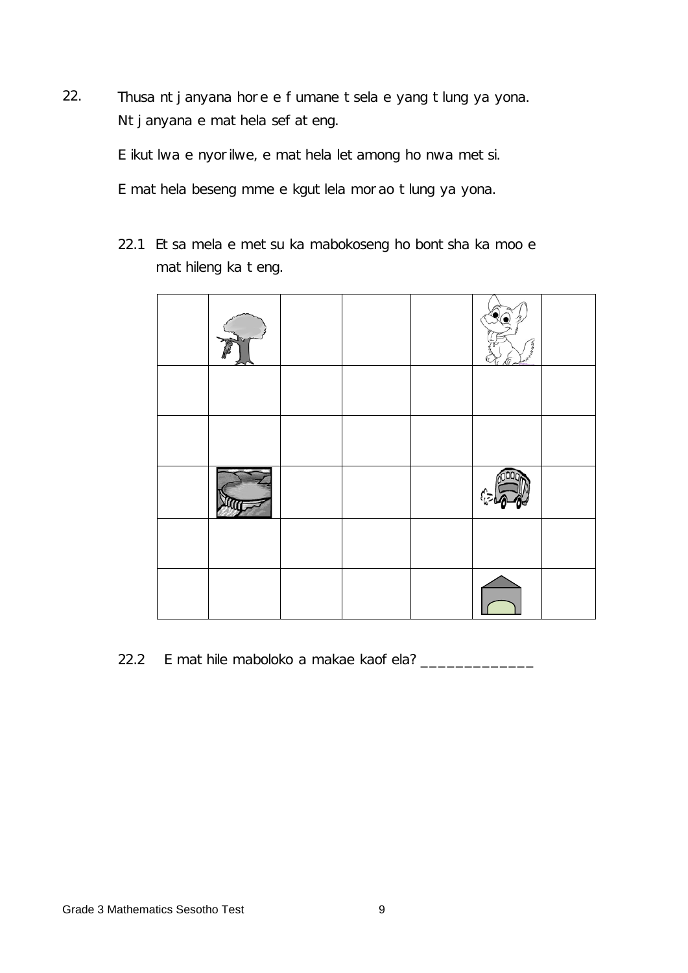22. Thusa ntjanyana hore e fumane tsela e yang tlung ya yona. Ntjanyana e mathela sefateng.

E ikutlwa e nyorilwe, e mathela letamong ho nwa metsi.

E mathela beseng mme e kgutlela morao tlung ya yona.

22.1 Etsa mela e metsu ka mabokoseng ho bontsha ka moo e mathileng ka teng.



22.2 E mathile maboloko a makae kaofela? \_\_\_\_\_\_\_\_\_\_\_\_\_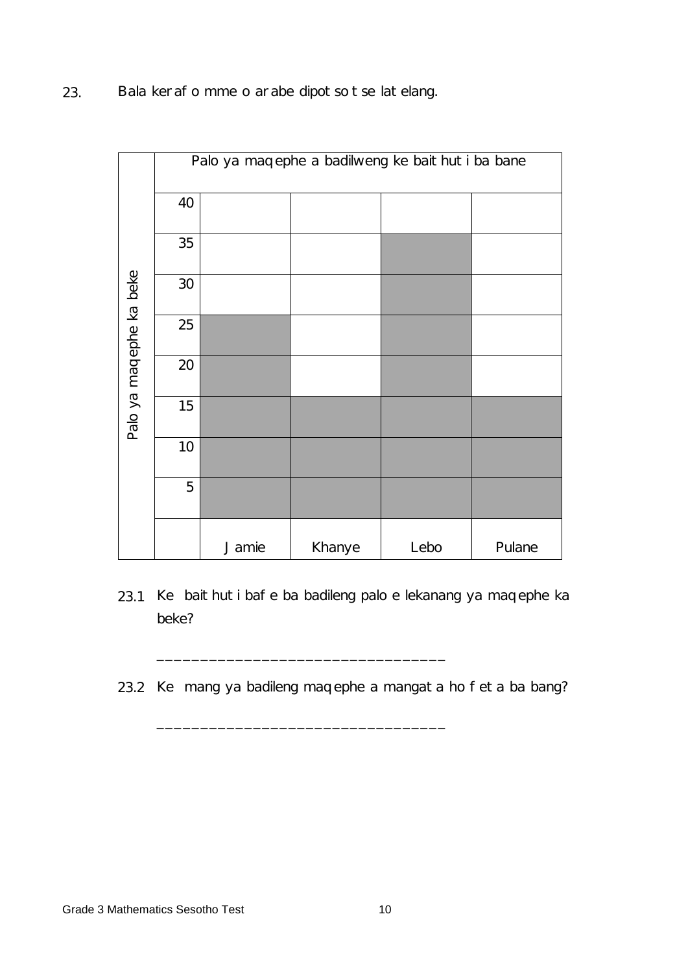23. Bala kerafo mme o arabe dipotso tse latelang.

|                         | Palo ya maqephe a badilweng ke baithuti ba bane |       |        |      |        |  |  |  |
|-------------------------|-------------------------------------------------|-------|--------|------|--------|--|--|--|
| Palo ya maqephe ka beke | 40                                              |       |        |      |        |  |  |  |
|                         | 35                                              |       |        |      |        |  |  |  |
|                         | 30                                              |       |        |      |        |  |  |  |
|                         | 25                                              |       |        |      |        |  |  |  |
|                         | 20                                              |       |        |      |        |  |  |  |
|                         | 15                                              |       |        |      |        |  |  |  |
|                         | 10                                              |       |        |      |        |  |  |  |
|                         | 5                                               |       |        |      |        |  |  |  |
|                         |                                                 | Jamie | Khanye | Lebo | Pulane |  |  |  |

- 23.1 Ke baithuti bafe ba badileng palo e lekanang ya maqephe ka beke?
- 23.2 Ke mang ya badileng maqephe a mangata ho feta ba bang?

\_\_\_\_\_\_\_\_\_\_\_\_\_\_\_\_\_\_\_\_\_\_\_\_\_\_\_\_\_\_\_\_\_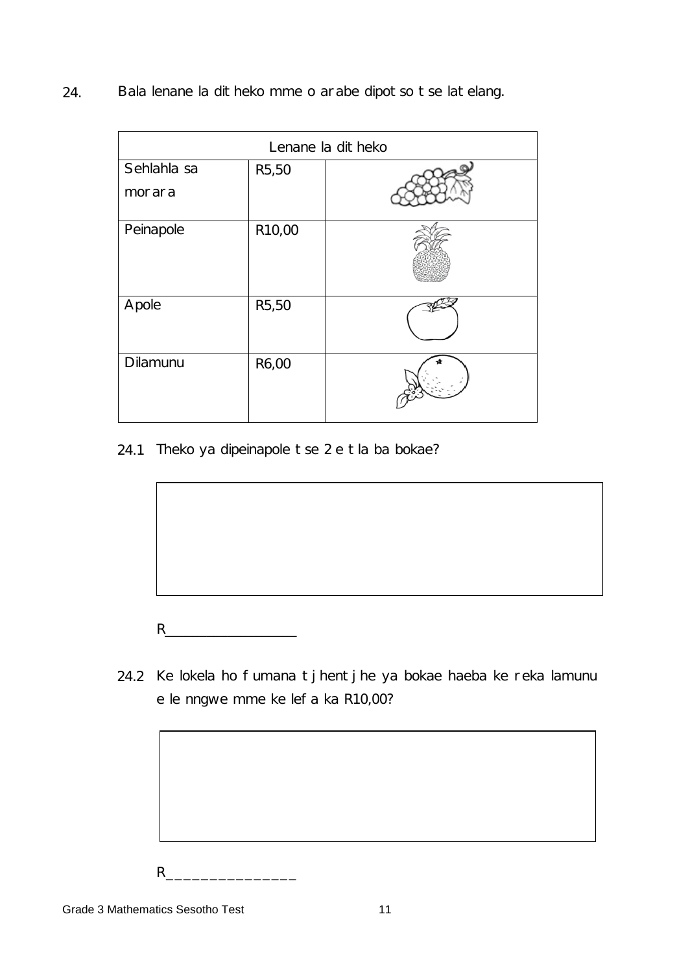24. Bala lenane la ditheko mme o arabe dipotso tse latelang.

| Lenane la ditheko     |        |  |  |  |  |
|-----------------------|--------|--|--|--|--|
| Sehlahla sa<br>morara | R5,50  |  |  |  |  |
|                       |        |  |  |  |  |
| Peinapole             | R10,00 |  |  |  |  |
| Apole                 | R5,50  |  |  |  |  |
| Dilamunu              | R6,00  |  |  |  |  |

24.1 Theko ya dipeinapole tse 2 e tla ba bokae?

- R\_\_\_\_\_\_\_\_\_\_\_\_\_\_\_\_\_\_\_
- 24.2 Ke lokela ho fumana tjhentjhe ya bokae haeba ke reka lamunu e le nngwe mme ke lefa ka R10,00?

R\_\_\_\_\_\_\_\_\_\_\_\_\_\_\_